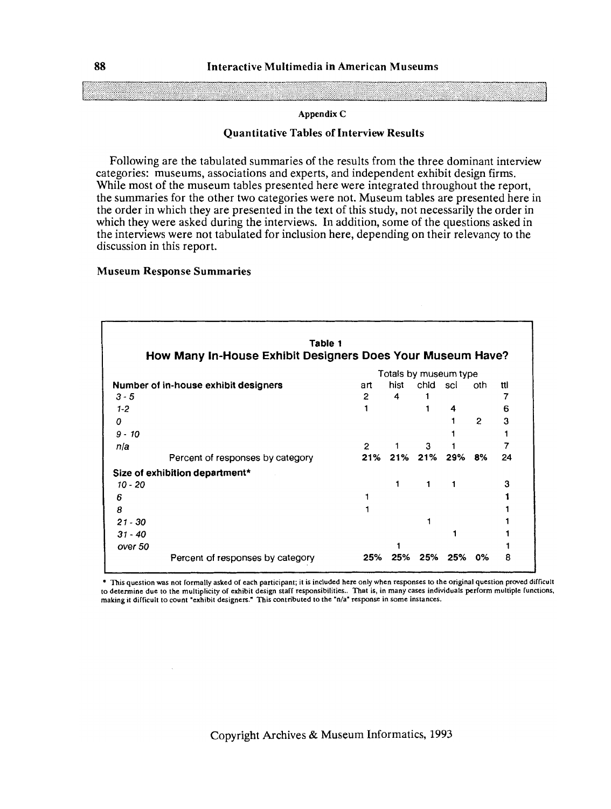#### **Quantitative Tables of Interview Results**

Following are the tabulated summaries of the results from the three dominant interview categories: museums, associations and experts, and independent exhibit design firms. While most of the museum tables presented here were integrated throughout the report, the summaries for the other two categories were not. Museum tables are presented here in the order in which they are presented in the text of this study, not necessarily the order in which they were asked during the interviews. In addition, some of the questions asked in the interviews were not tabulated for inclusion here, depending on their relevancy to the discussion in this report.

#### **Museum Response Summaries**

|           | Table 1                                                    |                |                       |          |     |                |     |
|-----------|------------------------------------------------------------|----------------|-----------------------|----------|-----|----------------|-----|
|           | How Many In-House Exhibit Designers Does Your Museum Have? |                |                       |          |     |                |     |
|           |                                                            |                | Totals by museum type |          |     |                |     |
|           | Number of in-house exhibit designers                       | art            | hist                  | chid sci |     | oth            | ttl |
| $3 - 5$   |                                                            | $\overline{2}$ | 4                     |          |     |                |     |
| $1-2$     |                                                            |                |                       |          | 4   |                | 6   |
| 0         |                                                            |                |                       |          |     | $\overline{2}$ | 3   |
| $9 - 10$  |                                                            |                |                       |          |     |                |     |
| n/a       |                                                            | $\overline{2}$ |                       | 3        |     |                |     |
|           | Percent of responses by category                           |                | 21% 21% 21% 29% 8%    |          |     |                | 24  |
|           | Size of exhibition department*                             |                |                       |          |     |                |     |
| $10 - 20$ |                                                            |                |                       | 1        |     |                |     |
| 6         |                                                            |                |                       |          |     |                |     |
| 8         |                                                            |                |                       |          |     |                |     |
| $21 - 30$ |                                                            |                |                       |          |     |                |     |
| $31 - 40$ |                                                            |                |                       |          |     |                |     |
| over 50   |                                                            |                |                       |          |     |                |     |
|           | Percent of responses by category                           | 25%            | 25%                   | 25%      | 25% | 0%             | 8   |

**This question was not formally asked of each participant; it is included here only when responses to the original question proved difficult to determine due to the multiplicity of exhibit design staff responsibilities.. That is, in many cases individuals perform multiple functions,**  making it difficult to count "exhibit designers." This contributed to the "n/a" response in some instances.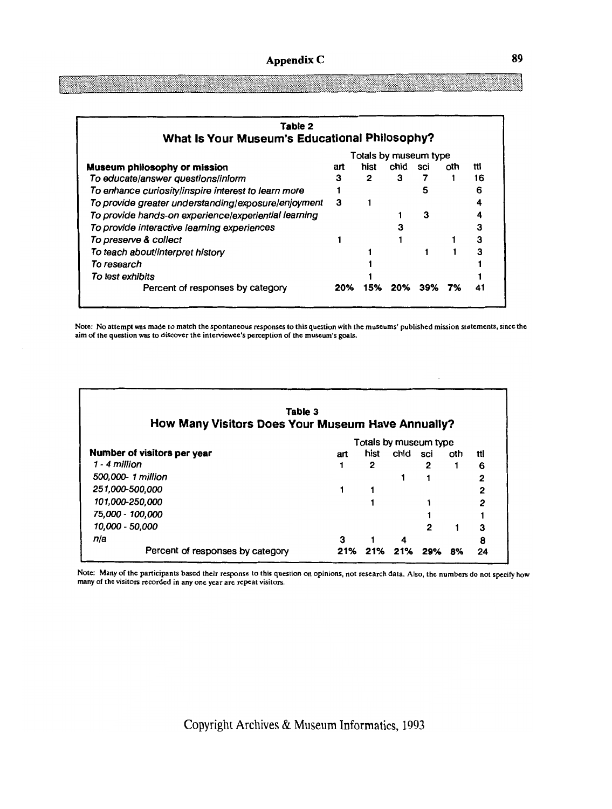| Table 2                                              |     |      |      |     |     |     |
|------------------------------------------------------|-----|------|------|-----|-----|-----|
| What Is Your Museum's Educational Philosophy?        |     |      |      |     |     |     |
| Totals by museum type                                |     |      |      |     |     |     |
| Museum philosophy or mission                         | art | hist | chid | sci | oth | ttl |
| To educate/answer questions/inform                   | з   | 2    | 3    |     |     | 16  |
| To enhance curiosity/inspire interest to learn more  |     |      |      |     |     | 6   |
| To provide greater understanding/exposure/enjoyment  | 3   |      |      |     |     |     |
| To provide hands-on experience/experiential learning |     |      |      | з   |     |     |
| To provide interactive learning experiences          |     |      |      |     |     | 3   |
| To preserve & collect                                |     |      |      |     |     | 3   |
| To teach about/interpret history                     |     |      |      |     |     | 3   |
| To research                                          |     |      |      |     |     |     |
| To test exhibits                                     |     |      |      |     |     |     |
| Percent of responses by category                     | 20% | 15%  | 20%  | 39% | 7%  |     |

Note: No attempt was made to match the spontaneous responses to this questionwith the museums' published mission statements, since the aim of the question was to discover the interviewee's perception of the museum's goals.

| How Many Visitors Does Your Museum Have Annually? | Table 3 |      |      |     |     |     |  |
|---------------------------------------------------|---------|------|------|-----|-----|-----|--|
| Totals by museum type                             |         |      |      |     |     |     |  |
| Number of visitors per year                       | art     | hist | chid | sci | oth | ttl |  |
| 1 - 4 million                                     |         | 2    |      | 2   |     | 6   |  |
| 500,000-1 million                                 |         |      |      |     |     | 2   |  |
| 251,000-500.000                                   |         |      |      |     |     | 2   |  |
| 101,000-250,000                                   |         |      |      |     |     | 2   |  |
| 75,000 - 100,000                                  |         |      |      |     |     |     |  |
| 10,000 - 50,000                                   |         |      |      | 2   |     | 3   |  |
| n/a                                               | 3       |      | 4    |     |     | 8   |  |
| Percent of responses by category                  | 21%     | 21%  | 21%  | 29% | 8%  | 24  |  |

Note: Many of the participants based their response to this question on opinions, not research data. Also, the numbers do not spccify how many of the visitors recorded in any one year are repeat visitors.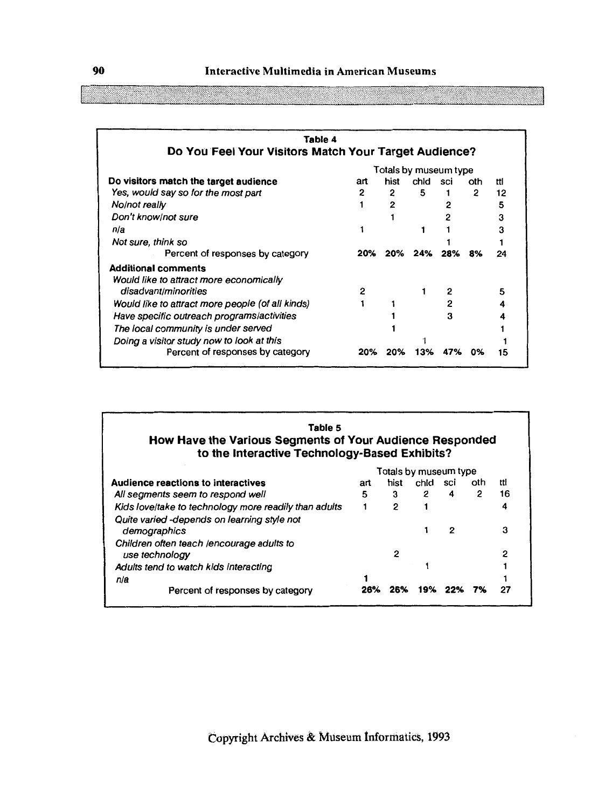| Table 4                                               |     |      |         |     |     |     |
|-------------------------------------------------------|-----|------|---------|-----|-----|-----|
| Do You Feel Your Visitors Match Your Target Audience? |     |      |         |     |     |     |
| Totals by museum type                                 |     |      |         |     |     |     |
| Do visitors match the target audience                 | art | hist | chid    | sci | oth | ttl |
| Yes, would say so for the most part                   | 2   | 2    | 5       |     | 2   | 12  |
| No/not really                                         |     | 2    |         | 2   |     | 5   |
| Don't know/not sure                                   |     |      |         |     |     | 3   |
| n/a                                                   |     |      |         |     |     |     |
| Not sure, think so                                    |     |      |         |     |     |     |
| Percent of responses by category                      | 20% |      | 20% 24% | 28% | 8%  | 24  |
| <b>Additional comments</b>                            |     |      |         |     |     |     |
| Would like to attract more economically               |     |      |         |     |     |     |
| disadvant/minorities                                  | 2   |      |         |     |     | 5   |
| Would like to attract more people (of all kinds)      |     |      |         |     |     |     |
| Have specific outreach programs/activities            |     |      |         | 3   |     |     |
| The local community is under served                   |     |      |         |     |     |     |
| Doing a visitor study now to look at this             |     |      |         |     |     |     |
| Percent of responses by category                      | 20% | 20%  | 13%     |     | ОΧ  | 15  |

### **Table 5 How Have the Various Segments of Your Audience Responded to the Interactive Technology-Based Exhibits?**

|                                                             |     |      |      | Totals by museum type |     |     |
|-------------------------------------------------------------|-----|------|------|-----------------------|-----|-----|
| <b>Audience reactions to interactives</b>                   | art | hist | chid | sci                   | oth | ttl |
| All segments seem to respond well                           | 5   | з    | 2    | 4                     | 2   | 16  |
| Kids love/take to technology more readily than adults       |     | 2    |      |                       |     | 4   |
| Quite varied -depends on learning style not<br>demographics |     |      |      | 2                     |     | 3   |
| Children often teach /encourage adults to<br>use technology |     | 2    |      |                       |     | 2   |
| Adults tend to watch kids interacting                       |     |      |      |                       |     |     |
| n/a                                                         |     |      |      |                       |     |     |
| Percent of responses by category                            | 26% |      | 19%  |                       |     | 27  |
|                                                             |     |      |      |                       |     |     |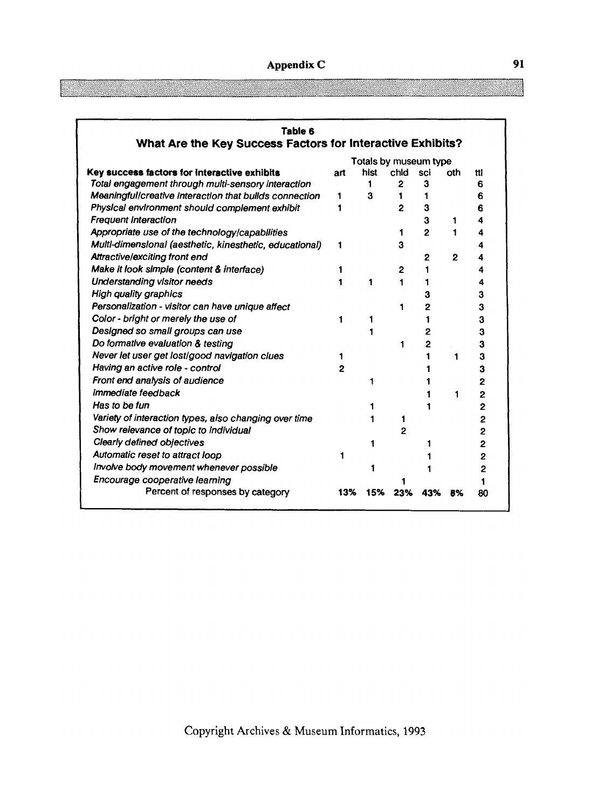| Table 6<br>What Are the Key Success Factors for Interactive Exhibits? |                       |      |                |                |                |                |  |
|-----------------------------------------------------------------------|-----------------------|------|----------------|----------------|----------------|----------------|--|
|                                                                       | Totals by museum type |      |                |                |                |                |  |
| Key success factors for interactive exhibits                          | art                   | hist | chld           | sci            | oth            | ttl            |  |
| Total engagement through multi-sensory interaction                    |                       | 1    | $\mathbf{2}$   | 3              |                | 6              |  |
| Meaningful/creative interaction that bullds connection                | 1                     | 3    | 1.             |                |                | 6              |  |
| Physical environment should complement exhibit                        | 1                     |      | $\mathbf{z}$   | 3              |                | 6              |  |
| <b>Frequent Interaction</b>                                           |                       |      |                | 3              | 1              | 4              |  |
| Appropriate use of the technology/capabilities                        |                       |      | 1              | $\overline{P}$ | 1              | 4              |  |
| Multl-dimenslonal (aesthetic, kinesthetic, educational)               | 1                     |      | 3              |                |                | 4              |  |
| Attractive/exciting front end                                         |                       |      |                | 2              | $\overline{2}$ | 4              |  |
| Make it look simple (content & interface)                             | 1                     |      | 2              |                |                |                |  |
| <b>Understanding visitor needs</b>                                    | 1                     | 1    | 1              |                |                |                |  |
| <b>High quality graphics</b>                                          |                       |      |                |                |                | з              |  |
| Personalization - visitor can have unique affect                      |                       |      | 1              | 2              |                | 3              |  |
| Color - bright or merely the use of                                   | 1                     |      |                |                |                | 3              |  |
| Designed so small groups can use                                      |                       |      |                | 2              |                | 3              |  |
| Do formative evaluation & testing                                     |                       |      | 1              | 2              |                | 3              |  |
| Never let user get lost/good navigation clues                         |                       |      |                |                | 1              | 3              |  |
| Having an active role - control                                       | $\overline{2}$        |      |                |                |                | 3              |  |
| Front end analysis of audience                                        |                       |      |                |                |                | 2              |  |
| Immediate feedback                                                    |                       |      |                |                | 1              | $\overline{2}$ |  |
| Has to be fun                                                         |                       |      |                |                |                | $\overline{2}$ |  |
| Variety of interaction types, also changing over time                 |                       |      | 1              |                |                | 2              |  |
| Show relevance of topic to individual                                 |                       |      | $\overline{2}$ |                |                | $\overline{2}$ |  |
| Clearly defined objectives                                            |                       |      |                |                |                | $\overline{2}$ |  |
| Automatic reset to attract loop                                       |                       |      |                |                |                | 2              |  |
| Involve body movement whenever possible                               |                       |      |                |                |                | 2              |  |
| Encourage cooperative learning                                        |                       |      |                |                |                |                |  |
| Percent of responses by category                                      | 13%                   | 15%  | 23%            | 43%            | 8%             | 80             |  |

Ĩ.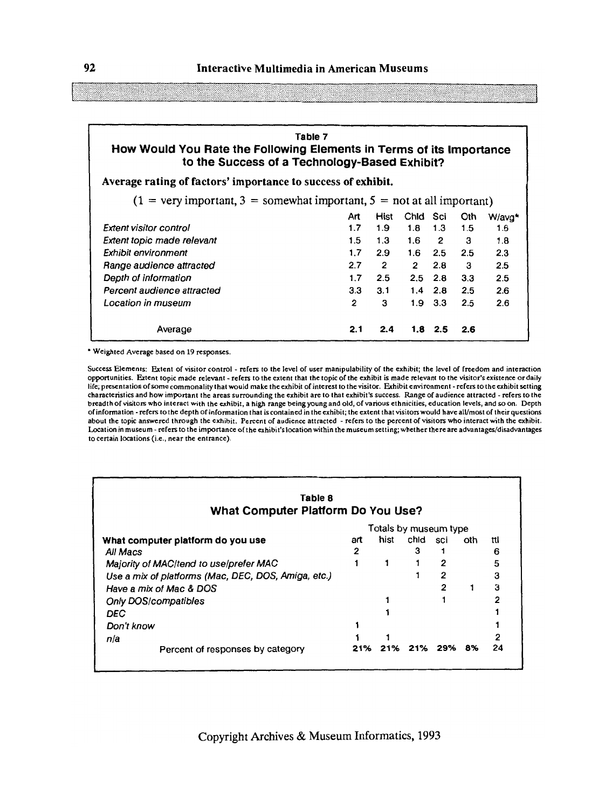#### **Table 7 How Would You Rate the Following Elements in Terms of its Importance to the Success of a Technology-Based Exhibit?**

**Average rating of factors' importance to success of exhibit.** 

 $(1 = \text{very important}, 3 = \text{somewhat important}, 5 = \text{not at all important})$ 

|                               | Art | Hist | Chid             | Sci         | Oth | W/avg* |
|-------------------------------|-----|------|------------------|-------------|-----|--------|
| <b>Extent visitor control</b> | 1.7 | 1.9  | 1.8              | 1.3         | 1.5 | 1.6    |
| Extent topic made relevant    | 1.5 | 1.3  | 1.6              | 2           | з   | 1.8    |
| Exhibit environment           | 1.7 | 2.9  | 1.6              | 2.5         | 2.5 | 2.3    |
| Range audience attracted      | 2.7 | 2    | 2                | 2.8         | з   | 2.5    |
| Depth of information          | 1.7 | 2.5  | $2.5^{\circ}$    | - 2.8       | 3.3 | 2.5    |
| Percent audience attracted    | 3.3 | 3.1  | 1.4              | 2.8         | 2.5 | 2.6    |
| Location in museum            | 2   | з    | 1.9 <sub>1</sub> | 3.3         | 2.5 | 2.6    |
| Average                       | 2.1 | 2.4  |                  | $1.8 \t2.5$ | 2.6 |        |

' Weighted Average based on 19 responses.

Success Elements: Extent of visitor control - refers to the level of user manipulability of the exhibit; the level of freedom and interaction opportunities. Extent topic made relevant -refers to the extent that the topic of the exhibit is made relevant to the visitor's existence or daily life; presentation of some commonalitythat would make theexhibit of interest to thevisitor. Exhibit environment -refers to the exhibit setting characteristics and how important the areas surrounding the exhibit are to that exhibit's success. Range of audience attracted -refers to the breadth of visitors who interact with the exhibit, a high range being young and old, of various ethnicities, education levels, and **so** on. Depth of information -refers to the depth of information that is contained in the exhibit; the extent thatvisitorswould have all/most of their questions about the topic answered through the exhibit. Percent of audience attracted - refers to the percent of visitors who interact with the exhibir. Location in museum - refers to the importance of the exhibit's location within the museum setting; whether there are advantages/disadvantages to certain locations (i.e., near the entrance).

| Table 8<br>What Computer Platform Do You Use?       |     |      |      |              |     |     |  |  |
|-----------------------------------------------------|-----|------|------|--------------|-----|-----|--|--|
| Totals by museum type                               |     |      |      |              |     |     |  |  |
| What computer platform do you use                   | art | hist | chid | sci          | oth | ttl |  |  |
| All Macs                                            | 2   |      | з    |              |     | 6   |  |  |
| Majority of MAC/tend to use/prefer MAC              |     | 1    |      | 2            |     | 5   |  |  |
| Use a mix of platforms (Mac, DEC, DOS, Amiga, etc.) |     |      |      | $\mathbf{2}$ |     | 3   |  |  |
| Have a mix of Mac & DOS                             |     |      |      | 2            |     | 3   |  |  |
| <b>Only DOS/compatibles</b>                         |     |      |      |              |     | 2   |  |  |
| DEC                                                 |     |      |      |              |     |     |  |  |
| Don't know                                          |     |      |      |              |     |     |  |  |
| n/a                                                 |     |      |      |              |     |     |  |  |
| Percent of responses by category                    | 21% | 21%  | 21%  | 29%          | 8%  | 24  |  |  |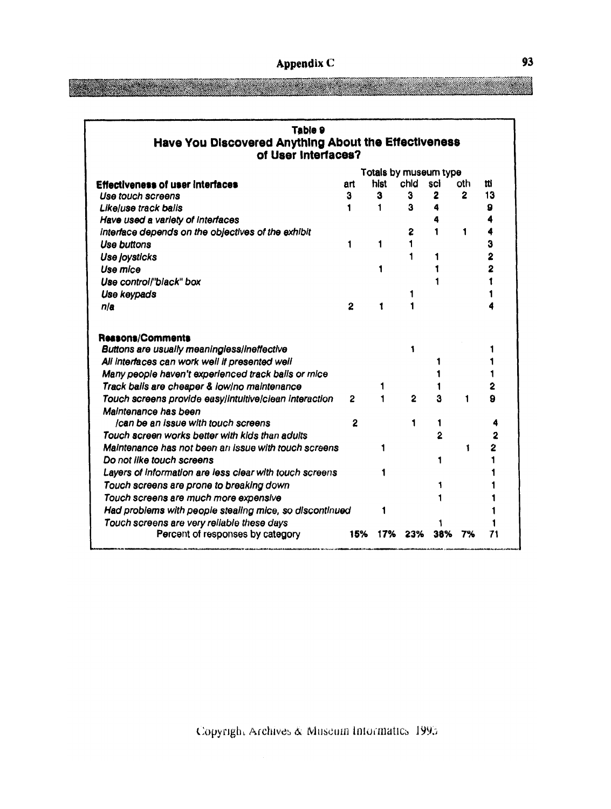<u> Tanzania (h. 1888).</u>

| Table 9<br>Have You Discovered Anything About the Effectiveness<br>of User Interfaces? |                |                       |                |                |              |     |  |  |  |
|----------------------------------------------------------------------------------------|----------------|-----------------------|----------------|----------------|--------------|-----|--|--|--|
|                                                                                        |                | Totals by museum type |                |                |              |     |  |  |  |
| <b>Effectiveness of user interfaces</b>                                                | art            | hist                  | chid           | sci            | oth          | tti |  |  |  |
| Use touch screens                                                                      | 3              | 3                     | 3              | 2              | $\mathbf{2}$ | 13  |  |  |  |
| Likeluse track balls                                                                   | 1              | 1                     | з              | 4              |              | 9   |  |  |  |
| Have used a variety of interfaces                                                      |                |                       |                | 4              |              | 4   |  |  |  |
| interface depends on the objectives of the exhibit                                     |                |                       | 2              |                | 1            | 4   |  |  |  |
| Use buttons                                                                            | 1              | 1                     |                |                |              | 3   |  |  |  |
| <b>Use joysticks</b>                                                                   |                |                       |                |                |              | 2   |  |  |  |
| Use mice                                                                               |                | 1                     |                |                |              | 2   |  |  |  |
| Use control/"black" box                                                                |                |                       |                |                |              | 1   |  |  |  |
| Use keypads                                                                            |                |                       |                |                |              |     |  |  |  |
| nia                                                                                    | $\overline{2}$ | 1                     |                |                |              |     |  |  |  |
| <b>Reasons/Comments</b>                                                                |                |                       |                |                |              |     |  |  |  |
| Buttons are usually meaningless/ineffective                                            |                |                       | 1              |                |              |     |  |  |  |
| All interfaces can work well if presented well                                         |                |                       |                |                |              |     |  |  |  |
| Many people haven't experienced track balls or mice                                    |                |                       |                |                |              |     |  |  |  |
| Track balls are cheaper & low/no maintenance                                           |                | 1                     |                |                |              | 2   |  |  |  |
| Touch screens provide easylintuitive/clean Interaction<br>Maintenance has been         | 2              | 1                     | $\overline{2}$ | ă              | 1            | 9   |  |  |  |
| Ican be an Issue with touch screens                                                    | 2              |                       |                |                |              | 4   |  |  |  |
| Touch screen works better with kids than aduits                                        |                |                       |                | $\overline{2}$ |              | 2   |  |  |  |
| Maintenance has not been an issue with touch screens                                   |                | 1                     |                |                | 1            | 2   |  |  |  |
| Do not like touch screens                                                              |                |                       |                | 1              |              |     |  |  |  |
| Layers of information are less clear with touch screens                                |                |                       |                |                |              |     |  |  |  |
| Touch screens are prone to breaking down                                               |                |                       |                |                |              |     |  |  |  |
| Touch screens are much more expensive                                                  |                |                       |                |                |              |     |  |  |  |
| Had problems with people stealing mice, so discontinued                                |                | 1                     |                |                |              |     |  |  |  |
| Touch screens are very reliable these days                                             |                |                       |                |                |              |     |  |  |  |
| Percent of responses by category                                                       | 15%            | 17%                   | 23%            | 38%            | 7%           | 71  |  |  |  |

**Maria Alexandria**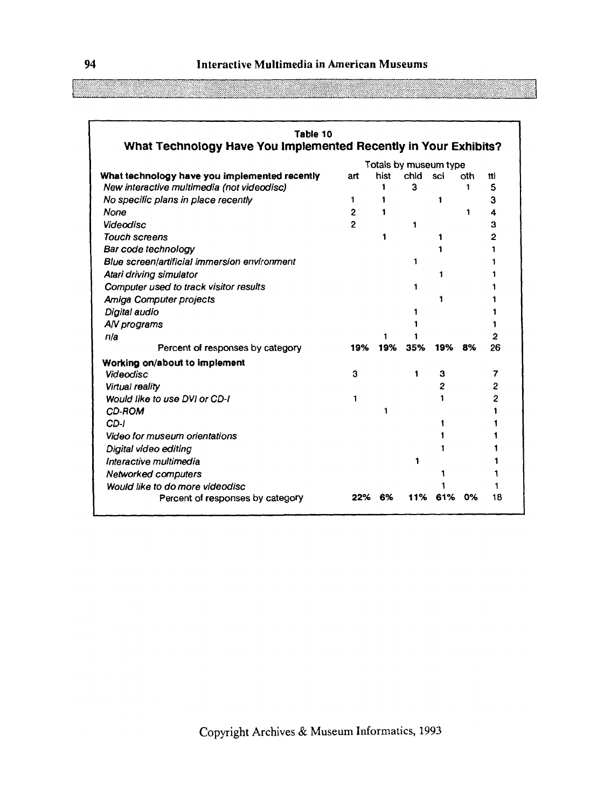**94 Interactive Multimedia in American Museums** 

| Table 10                                                        |                       |      |      |                |     |     |
|-----------------------------------------------------------------|-----------------------|------|------|----------------|-----|-----|
| What Technology Have You Implemented Recently in Your Exhibits? |                       |      |      |                |     |     |
|                                                                 | Totals by museum type |      |      |                |     |     |
| What technology have you implemented recently                   | art                   | hist | chid | sci            | nth | tti |
| New interactive multimedia (not videodisc)                      |                       | 1    | 3    |                | 1   | 5   |
| No specific plans in place recently                             | 1                     | 1    |      | 1              |     | 3   |
| None                                                            | $\mathbf{2}$          | 1    |      |                | 1   | 4   |
| Videodisc                                                       | $\mathfrak{p}$        |      | 1    |                |     | 3   |
| <b>Touch screens</b>                                            |                       | 1    |      | 1              |     | 2   |
| Bar code technology                                             |                       |      |      | 1              |     | 1   |
| Blue screen/artificial immersion environment                    |                       |      | 1    |                |     |     |
| Atari driving simulator                                         |                       |      |      | 1              |     |     |
| Computer used to track visitor results                          |                       |      | 1    |                |     | 1   |
| Amiga Computer projects                                         |                       |      |      | 1              |     |     |
| Digital audio                                                   |                       |      | 1    |                |     | 1   |
| A/V programs                                                    |                       |      |      |                |     | 1   |
| n/a                                                             |                       |      |      |                |     | 2   |
| Percent of responses by category                                | 19%                   | 19%  | 35%  | 19%            | -8% | 26  |
| Working on/about to implement                                   |                       |      |      |                |     |     |
| <b>Videodisc</b>                                                | 3                     |      | 1    | 3              |     | 7   |
| Virtual reality                                                 |                       |      |      | $\overline{2}$ |     | 2   |
| Would like to use DVI or CD-I                                   | 1                     |      |      | 1              |     | 2   |
| CD-ROM                                                          |                       | 1    |      |                |     | 1   |
| CD-I                                                            |                       |      |      | 1              |     | 1   |
| Video for museum orientations                                   |                       |      |      | 1              |     |     |
| Digital video editing                                           |                       |      |      | 1              |     |     |
| Interactive multimedia                                          |                       |      | 1    |                |     |     |
| <b>Networked computers</b>                                      |                       |      |      | 1              |     |     |
| Would like to do more videodisc                                 |                       |      |      |                |     |     |
| Percent of responses by category                                | 22%                   | 6%   | 11%  | 61%            | 0%  | 18  |

<u> Maria Sant</u>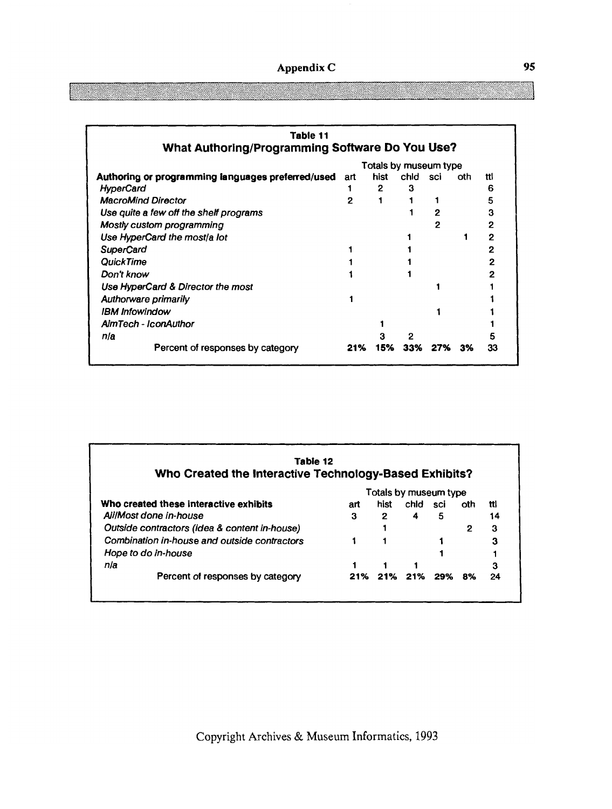| Appendix C |  |
|------------|--|
|            |  |

| Table 11                                          |                       |              |      |     |     |    |  |  |
|---------------------------------------------------|-----------------------|--------------|------|-----|-----|----|--|--|
| What Authoring/Programming Software Do You Use?   |                       |              |      |     |     |    |  |  |
|                                                   | Totals by museum type |              |      |     |     |    |  |  |
| Authoring or programming languages preferred/used | art                   | hist         | chid | sci | oth | Ħl |  |  |
| <b>HyperCard</b>                                  |                       | $\mathbf{2}$ | з    |     |     | 6  |  |  |
| <b>MacroMind Director</b>                         | 2                     |              |      |     |     | 5  |  |  |
| Use quite a few off the shelf programs            |                       |              |      | 2   |     | 3  |  |  |
| Mostly custom programming                         |                       |              |      | 2   |     | 2  |  |  |
| Use HyperCard the most/a lot                      |                       |              |      |     |     | 2  |  |  |
| <b>SuperCard</b>                                  |                       |              |      |     |     |    |  |  |
| <b>QuickTime</b>                                  |                       |              |      |     |     | 2  |  |  |
| Don't know                                        |                       |              |      |     |     |    |  |  |
| Use HyperCard & Director the most                 |                       |              |      |     |     |    |  |  |
| Authorware primarily                              |                       |              |      |     |     |    |  |  |
| <b>IBM Infowindow</b>                             |                       |              |      |     |     |    |  |  |
| <b>AimTech - IconAuthor</b>                       |                       |              |      |     |     |    |  |  |
| nia                                               |                       |              |      |     |     |    |  |  |
| Percent of responses by category                  | 21%                   | 15%          | 33%  | 27% | 3%  | 33 |  |  |

| Tabie 12<br>Who Created the Interactive Technology-Based Exhibits? |     |              |                       |     |     |     |
|--------------------------------------------------------------------|-----|--------------|-----------------------|-----|-----|-----|
|                                                                    |     |              | Totals by museum type |     |     |     |
| Who created these interactive exhibits                             | art | hist         | chid                  | sci | oth | ttl |
| All/Most done in-house                                             | з   | $\mathbf{2}$ | 4                     | 5   |     | 14  |
| Outside contractors (idea & content in-house)                      |     |              |                       |     | 2   | з   |
| Combination in-house and outside contractors                       |     |              |                       |     |     | 3   |
| Hope to do in-house                                                |     |              |                       |     |     |     |
| nla                                                                |     |              |                       |     |     | 3   |
| Percent of responses by category                                   | 21% | 21%          | -21%                  | 29% | 8%  | 24  |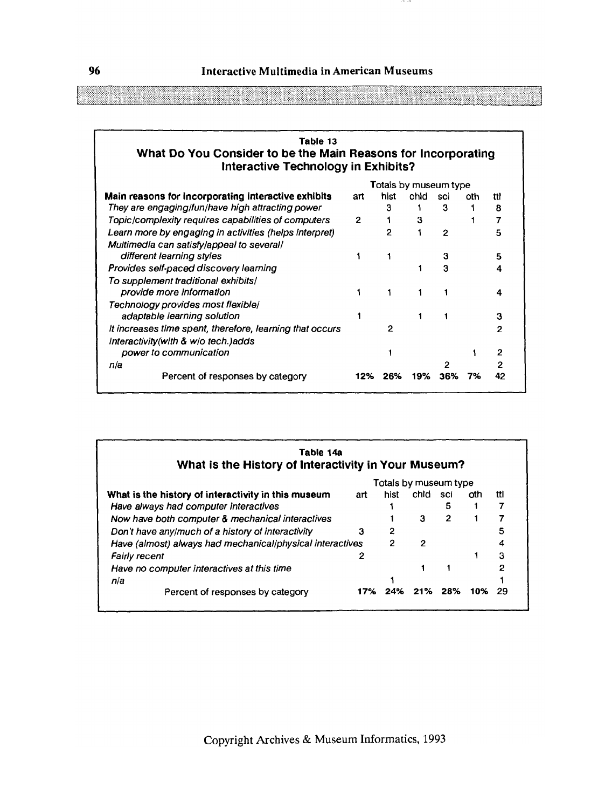$-1$ 

| Table 13                                                      |
|---------------------------------------------------------------|
| What Do You Consider to be the Main Reasons for Incorporating |
| Interactive Technology in Exhibits?                           |

|                                                          |     |      | Totals by museum type |     |     |     |
|----------------------------------------------------------|-----|------|-----------------------|-----|-----|-----|
| Main reasons for incorporating interactive exhibits      | art | hist | chid                  | sci | oth | ttl |
| They are engaging/fun/have high attracting power         |     | 3    |                       | 3   |     | 8   |
| Topic/complexity requires capabilities of computers      | 2   |      | 3                     |     |     | 7   |
| Learn more by engaging in activities (helps interpret)   |     | 2    |                       | 2   |     | 5   |
| Multimedia can satisfy/appeal to several/                |     |      |                       |     |     |     |
| different learning styles                                |     |      |                       | 3   |     | 5   |
| Provides self-paced discovery learning                   |     |      |                       | 3   |     | 4   |
| To supplement traditional exhibits/                      |     |      |                       |     |     |     |
| provide more information                                 |     |      |                       |     |     |     |
| Technology provides most flexible/                       |     |      |                       |     |     |     |
| adaptable learning solution                              |     |      |                       |     |     | 3   |
| It increases time spent, therefore, learning that occurs |     | 2    |                       |     |     | 2   |
| Interactivity(with & w/o tech.) adds                     |     |      |                       |     |     |     |
| power to communication                                   |     |      |                       |     |     | 2   |
| n/a                                                      |     |      |                       |     |     | 2   |
| Percent of responses by category                         | 12% | 26%  | 19%                   | 36% | 7%  | 42  |

| Table 14a<br>What is the History of Interactivity in Your Museum? |     |                       |      |      |     |     |
|-------------------------------------------------------------------|-----|-----------------------|------|------|-----|-----|
|                                                                   |     | Totals by museum type |      |      |     |     |
| What is the history of interactivity in this museum               | art | hist                  | chid | sci  | oth | ttl |
| Have always had computer interactives                             |     |                       |      | 5    |     |     |
| Now have both computer & mechanical interactives                  |     |                       | 3    | 2    |     |     |
| Don't have any/much of a history of interactivity                 | з   | 2                     |      |      |     | 5   |
| Have (almost) always had mechanical/physical interactives         |     | 2                     | 2    |      |     |     |
| <b>Fairly recent</b>                                              | 2   |                       |      |      |     | 3   |
| Have no computer interactives at this time                        |     |                       |      |      |     | 2   |
| n/a                                                               |     |                       |      |      |     |     |
| Percent of responses by category                                  | 17% | 24%                   | 21%  | -28% | 10% | 29  |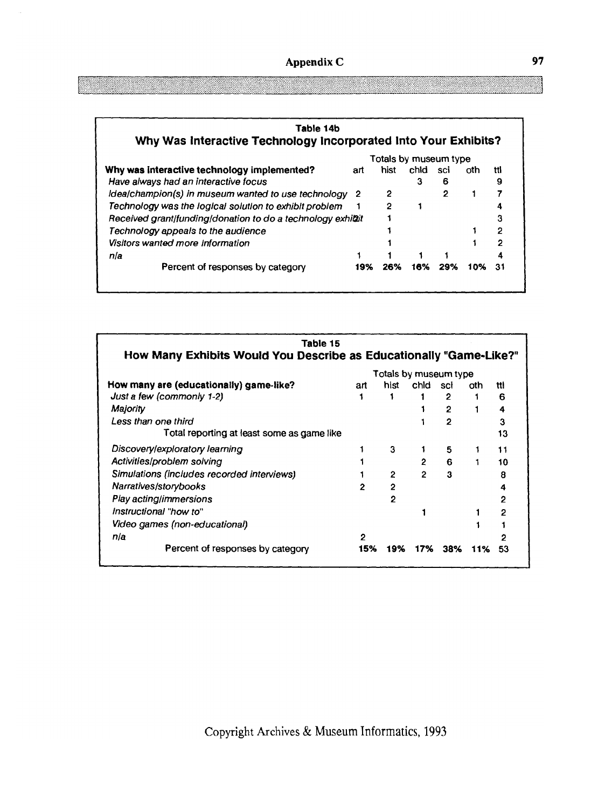| Table 14b                                                       |     |                       |      |     |     |              |
|-----------------------------------------------------------------|-----|-----------------------|------|-----|-----|--------------|
| Why Was Interactive Technology Incorporated Into Your Exhibits? |     |                       |      |     |     |              |
|                                                                 |     | Totals by museum type |      |     |     |              |
| Why was interactive technology implemented?                     | art | hist                  | chid | sci | oth | ttl          |
| Have always had an interactive focus                            |     |                       | з    | 6   |     | 9            |
| Idea/champion(s) in museum wanted to use technology 2           |     | 2                     |      | 2   |     |              |
| Technology was the logical solution to exhibit problem          |     | 2                     |      |     |     |              |
| Received grant/funding/donation to do a technology exhibit      |     |                       |      |     |     |              |
| Technology appeals to the audience                              |     |                       |      |     |     | $\mathbf{c}$ |
| <b>Visitors wanted more information</b>                         |     |                       |      |     |     | 2            |
| n/a                                                             |     |                       |      |     |     |              |
| Percent of responses by category                                | 19% | 26%                   | 16%  | 29% | 10% | 31           |

| Table 15<br>How Many Exhibits Would You Describe as Educationally "Game-Like?" |              |                |                |                       |     |              |
|--------------------------------------------------------------------------------|--------------|----------------|----------------|-----------------------|-----|--------------|
|                                                                                |              |                |                | Totals by museum type |     |              |
| How many are (educationally) game-like?                                        | art          | hist           | chid           | sci                   | oth | ttl          |
| Just a few (commonly 1-2)                                                      |              |                |                | 2                     |     | 6            |
| Majority                                                                       |              |                |                | 2                     |     | 4            |
| Less than one third                                                            |              |                |                | 2                     |     | 3            |
| Total reporting at least some as game like                                     |              |                |                |                       |     | 13           |
| Discovery/exploratory learning                                                 |              | 3              |                | 5                     |     | 11           |
| Activities/problem solving                                                     |              |                | $\overline{2}$ | 6                     |     | 10           |
| Simulations (includes recorded interviews)                                     |              | $\overline{2}$ | $\mathbf{2}$   | 3                     |     | 8            |
| Narratives/storybooks                                                          | 2            | 2              |                |                       |     | 4            |
| Play acting/immersions                                                         |              | 2              |                |                       |     | $\mathbf{2}$ |
| Instructional "how to"                                                         |              |                |                |                       |     | 2            |
| Video games (non-educational)                                                  |              |                |                |                       |     |              |
| n/a                                                                            | $\mathbf{2}$ |                |                |                       |     |              |
| Percent of responses by category                                               | 15%          | 19%            | 17%            | 38%                   | 11% | 53           |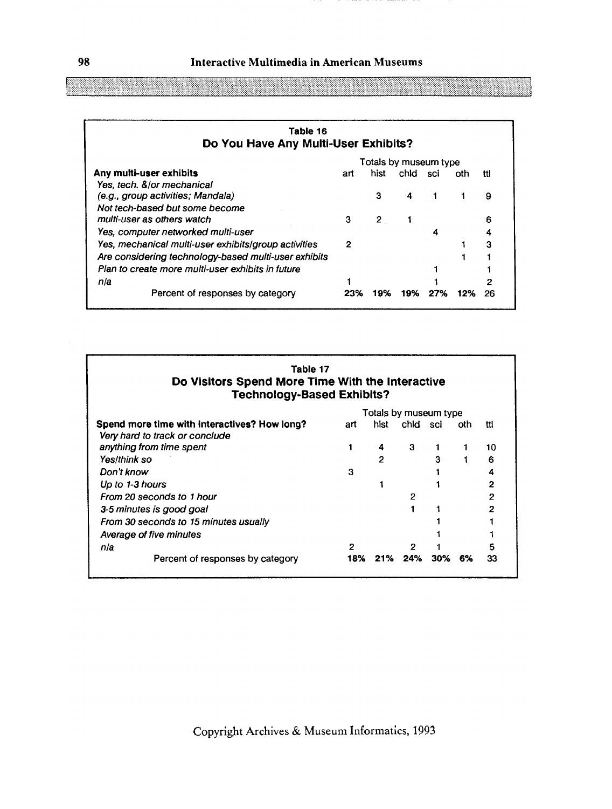| Table 16<br>Do You Have Any Multi-User Exhibits?     |     |                |          |                       |     |     |
|------------------------------------------------------|-----|----------------|----------|-----------------------|-----|-----|
|                                                      |     |                |          | Totals by museum type |     |     |
| Any multi-user exhibits                              | art | hist           | chid sci |                       | oth | tti |
| Yes, tech. &/or mechanical                           |     |                |          |                       |     |     |
| (e.g., group activities; Mandala)                    |     | з              | 4        |                       |     | 9   |
| Not tech-based but some become                       |     |                |          |                       |     |     |
| multi-user as others watch                           | 3   | $\overline{2}$ |          |                       |     | 6   |
| Yes, computer networked multi-user                   |     |                |          | 4                     |     | 4   |
| Yes, mechanical multi-user exhibits/group activities | 2   |                |          |                       |     | 3   |
| Are considering technology-based multi-user exhibits |     |                |          |                       |     |     |
| Plan to create more multi-user exhibits in future    |     |                |          |                       |     |     |
| nla                                                  |     |                |          |                       |     | 2   |
| Percent of responses by category                     | 23% | 19%            | 19%      | 27%                   |     | 26  |

| Table 17<br>Do Visitors Spend More Time With the Interactive<br><b>Technology-Based Exhibits?</b> |     |                       |      |     |     |              |
|---------------------------------------------------------------------------------------------------|-----|-----------------------|------|-----|-----|--------------|
|                                                                                                   |     | Totals by museum type |      |     |     |              |
| Spend more time with interactives? How long?                                                      | art | hist                  | chid | sci | oth | tti          |
| Very hard to track or conclude                                                                    |     |                       |      |     |     |              |
| anything from time spent                                                                          |     | 4                     | 3    |     |     | 10           |
| Yes/think so                                                                                      |     | 2                     |      | 3   |     | 6            |
| Don't know                                                                                        | 3   |                       |      |     |     | 4            |
| Up to 1-3 hours                                                                                   |     |                       |      |     |     | $\mathbf{2}$ |
| From 20 seconds to 1 hour                                                                         |     |                       | 2    |     |     | 2            |
| 3-5 minutes is good goal                                                                          |     |                       |      |     |     | 2            |
| From 30 seconds to 15 minutes usually                                                             |     |                       |      |     |     |              |
| Average of five minutes                                                                           |     |                       |      |     |     |              |
| nla                                                                                               | 2   |                       |      |     |     | 5            |
| Percent of responses by category                                                                  | 18% | 21%                   | 24%  | 30% | 6%  | 33           |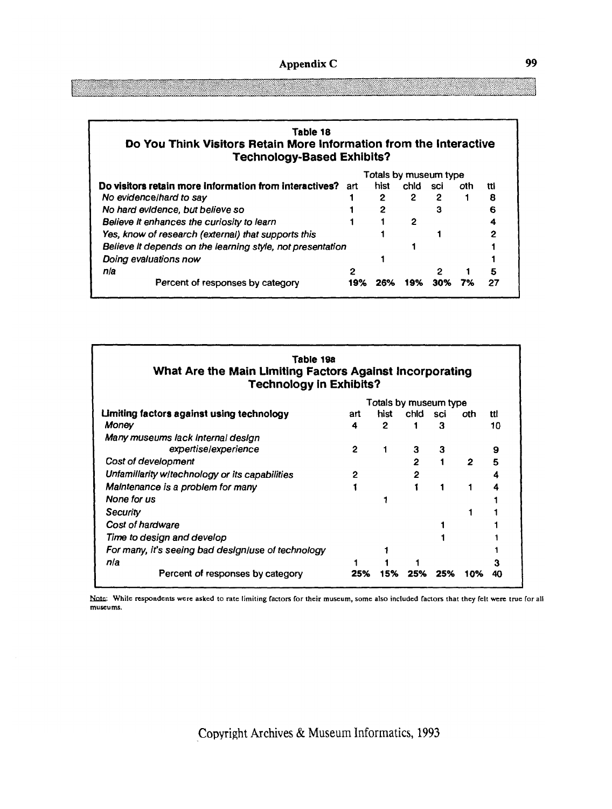| Table 18                                                           |
|--------------------------------------------------------------------|
| Do You Think Visitors Retain More Information from the Interactive |
| <b>Technology-Based Exhibits?</b>                                  |

|                                                            | Totals by museum type |      |      |     |     |     |
|------------------------------------------------------------|-----------------------|------|------|-----|-----|-----|
| Do visitors retain more information from interactives?     | art                   | hist | chid | sci | oth | tti |
| No evidence/hard to say                                    |                       | 2    | 2    | 2   |     | 8   |
| No hard evidence, but believe so                           |                       | 2    |      | 3   |     |     |
| Believe It enhances the curiosity to learn                 |                       |      |      |     |     | 4   |
| Yes, know of research (external) that supports this        |                       |      |      |     |     |     |
| Believe It depends on the learning style, not presentation |                       |      |      |     |     |     |
| Doing evaluations now                                      |                       |      |      |     |     |     |
| nla                                                        | ּ                     |      |      |     |     | 5   |
| Percent of responses by category                           | 19%                   |      |      | 30% |     | 27  |

| Table 19a<br>What Are the Main Limiting Factors Against Incorporating<br><b>Technology in Exhibits?</b> |     |              |              |                       |                |     |
|---------------------------------------------------------------------------------------------------------|-----|--------------|--------------|-----------------------|----------------|-----|
|                                                                                                         |     |              |              | Totals by museum type |                |     |
| Limiting factors against using technology                                                               | art | hist         | chid sci     |                       | oth.           | ttl |
| Money                                                                                                   | 4   | $\mathbf{2}$ |              | з                     |                | 10  |
| Many museums lack Internal design                                                                       |     |              |              |                       |                |     |
| expertise/experience                                                                                    | 2   |              | 3            | 3                     |                | 9   |
| Cost of development                                                                                     |     |              | $\mathbf{c}$ |                       | $\overline{2}$ | 5   |
| Unfamillarity w/technology or its capabilities                                                          |     |              | 2            |                       |                |     |
| Maintenance is a problem for many                                                                       |     |              |              |                       |                |     |
| None for us                                                                                             |     |              |              |                       |                |     |
| Security                                                                                                |     |              |              |                       |                |     |
| Cost of hardware                                                                                        |     |              |              |                       |                |     |
| Time to design and develop                                                                              |     |              |              |                       |                |     |
| For many, it's seeing bad design/use of technology                                                      |     |              |              |                       |                |     |
| nla                                                                                                     |     |              |              |                       |                |     |
| Percent of responses by category                                                                        | 25% | 15%          | 25%          | 25%                   | 10%            | 40  |

Note: While respondents were asked to rate limiting factors for their museum, some also included factors that they felt were true for all **museums.**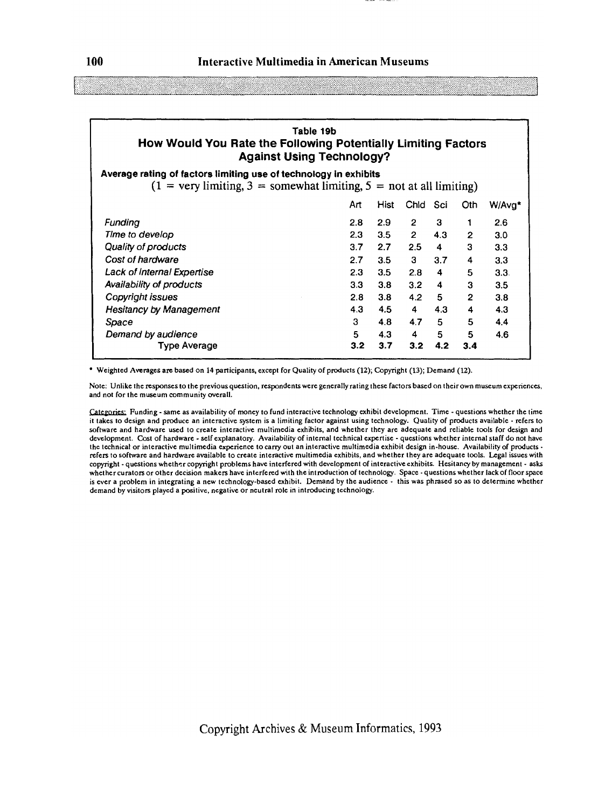| Table 19b                                                        |
|------------------------------------------------------------------|
| How Would You Rate the Following Potentially Limiting Factors    |
| <b>Against Using Technology?</b>                                 |
| Average rating of factors limiting use of technology in exhibits |

 $(1 = \text{very limiting}, 3 = \text{somewhat limiting}, 5 = \text{not at all limiting})$ 

|                                | Art | <b>Hist</b> | Chid           | Sci | Oth          | W/Avg* |
|--------------------------------|-----|-------------|----------------|-----|--------------|--------|
| Fundina                        | 2.8 | 2.9         | $\mathbf{2}$   | 3   |              | 2.6    |
| Time to develop                | 2.3 | 3.5         | $\overline{2}$ | 4.3 | 2            | 3.0    |
| Quality of products            | 3.7 | 2.7         | 2.5            | 4   | 3            | 3.3    |
| Cost of hardware               | 2.7 | 3.5         | 3              | 3.7 | 4            | 3.3    |
| Lack of Internal Expertise     | 2.3 | 3.5         | 2.8            | 4   | 5            | 3.3.   |
| Availability of products       | 3.3 | 3.8         | 3.2            | 4   | 3            | 3.5    |
| Copyright issues               | 2.8 | 3.8         | 4.2            | 5   | $\mathbf{2}$ | 3.8    |
| <b>Hesitancy by Management</b> | 4.3 | 4.5         | 4              | 4.3 | 4            | 4.3    |
| Space                          | 3   | 4.8         | 4.7            | 5   | 5            | 4.4    |
| Demand by audience             | 5   | 4.3         | 4              | 5   | 5            | 4.6    |
| Type Average                   | 3.2 | 3.7         | 3.2            | 4.2 | 3.4          |        |
|                                |     |             |                |     |              |        |

Weighted Avcrages arc based on 14 participants, except for Quality of products **(12);** Copyright (13); Demand **(12).** 

Note: Unlike the responses to the previous question, respondents were generally rating these factors based on their own museum experiences, and not for the museum community overall.

Categories: Funding - same as availability of money to fund interactive technology exhibit development. Time - questions whether the time it takes to design and produce an interactive system is a limiting factor against using technology. Quality of products available - refers to software and hardware used to create interactive multimedia exhibits, and whether they are adequate and reliable tools for design and development. Cost of hardware - self explanatory Availability of internal technical expertise - questions whether internal staff do not have the technical or interactive multimedia experience to carry out an interactive multimedia exhibit design in-house. Availability of products refers to software and hardware available to create interactive multimedia exhibits, and whether they are adequate tools. Legal issues with copyright -questions whether copyright problems have interfered with development of interactive exhibits. Hesitancy by management - asks whether curators or other decision makers have interfered with the introduction of technology. Space - questions whether lack of floor space is ever a problem in integrating a new technology-based exhibit. Demand by the audience - this was phrased so as to determine whether demand by visitors played a positive, negative or neutral role in introducing technology.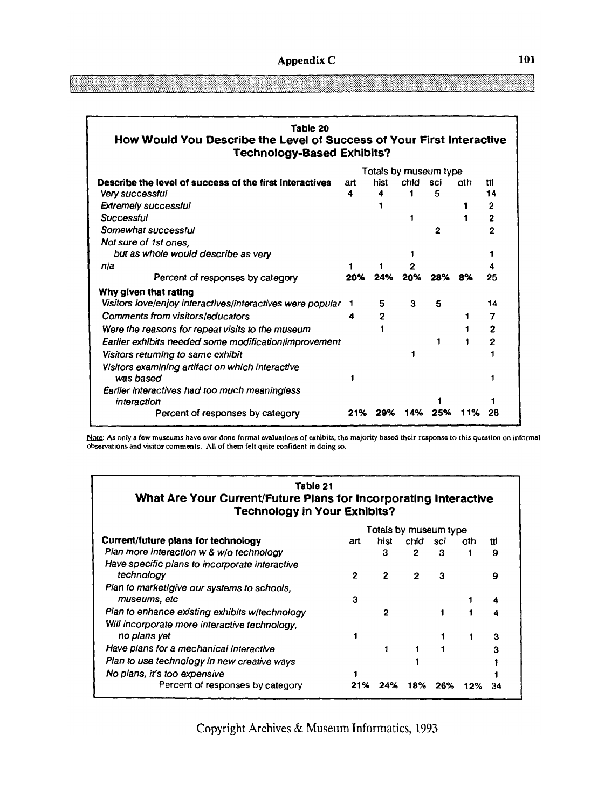| Table 20<br>How Would You Describe the Level of Success of Your First Interactive<br><b>Technology-Based Exhibits?</b> |     |                       |      |                |     |                |
|------------------------------------------------------------------------------------------------------------------------|-----|-----------------------|------|----------------|-----|----------------|
|                                                                                                                        |     | Totals by museum type |      |                |     |                |
| Describe the level of success of the first interactives                                                                | art | hist                  | chid | sci            | oth | ttl            |
| <b>Very successful</b>                                                                                                 | 4   | 4                     |      | 5              |     | 14             |
| <b>Extremely successful</b>                                                                                            |     |                       |      |                |     | $\mathbf{2}$   |
| Successful                                                                                                             |     |                       |      |                |     | $\overline{2}$ |
| Somewhat successful                                                                                                    |     |                       |      | $\overline{2}$ |     | 2              |
| Not sure of 1st ones,                                                                                                  |     |                       |      |                |     |                |
| but as whole would describe as very                                                                                    |     |                       |      |                |     |                |
| nia                                                                                                                    |     |                       |      |                |     |                |
| Percent of responses by category                                                                                       | 20% | 24%                   | 20%  | 28%            | 8%  | 25             |
| Why given that rating                                                                                                  |     |                       |      |                |     |                |
| Visitors love/enjoy interactives/interactives were popular                                                             | 1   | 5                     | 3    | 5              |     | 14             |
| <b>Comments from visitors/educators</b>                                                                                | 4   | 2                     |      |                |     | 7              |
| Were the reasons for repeat visits to the museum                                                                       |     |                       |      |                |     | 2              |
| Earlier exhibits needed some modification/improvement                                                                  |     |                       |      |                |     | $\overline{2}$ |
| Visitors returning to same exhibit                                                                                     |     |                       |      |                |     |                |
| Visitors examining artifact on which interactive                                                                       |     |                       |      |                |     |                |
| was based                                                                                                              |     |                       |      |                |     |                |
| Earlier interactives had too much meaningless                                                                          |     |                       |      |                |     |                |
| interaction                                                                                                            |     |                       |      |                |     |                |
| Percent of responses by category                                                                                       | 21% | 29%                   | 14%  |                | 11% | 28             |

and the set of the matter of the matter of the matter of the set of the set of the set of the set of the set of the set of the set of the set of the set of the set of the set of the set of the set of the set of the set of

| Table 21<br>What Are Your Current/Future Plans for Incorporating Interactive<br><b>Technology in Your Exhibits?</b> |                       |              |              |     |     |     |
|---------------------------------------------------------------------------------------------------------------------|-----------------------|--------------|--------------|-----|-----|-----|
|                                                                                                                     | Totals by museum type |              |              |     |     |     |
| Current/future plans for technology                                                                                 | art                   | hist         | chid         | sci | oth | ttl |
| Plan more interaction w & w/o technology                                                                            |                       | 3            | 2            | з   |     | 9   |
| Have specific plans to incorporate interactive<br>technology                                                        | $\mathbf{2}$          | $\mathbf{2}$ | $\mathbf{2}$ | 3   |     | 9   |
| Plan to market/give our systems to schools,<br>museums, etc.                                                        | 3                     |              |              |     |     | 4   |
| Plan to enhance existing exhibits w/technology<br>Will incorporate more interactive technology,                     |                       | $\mathbf{c}$ |              |     |     | 4   |
| no plans yet                                                                                                        |                       |              |              |     | 1   | з   |
| Have plans for a mechanical interactive                                                                             |                       |              |              |     |     | з   |
| Plan to use technology in new creative ways                                                                         |                       |              |              |     |     |     |
| No plans, it's too expensive                                                                                        |                       |              |              |     |     |     |
| Percent of responses by category                                                                                    | 21%                   | 24%          | 18%          | 26% | 12% | 34  |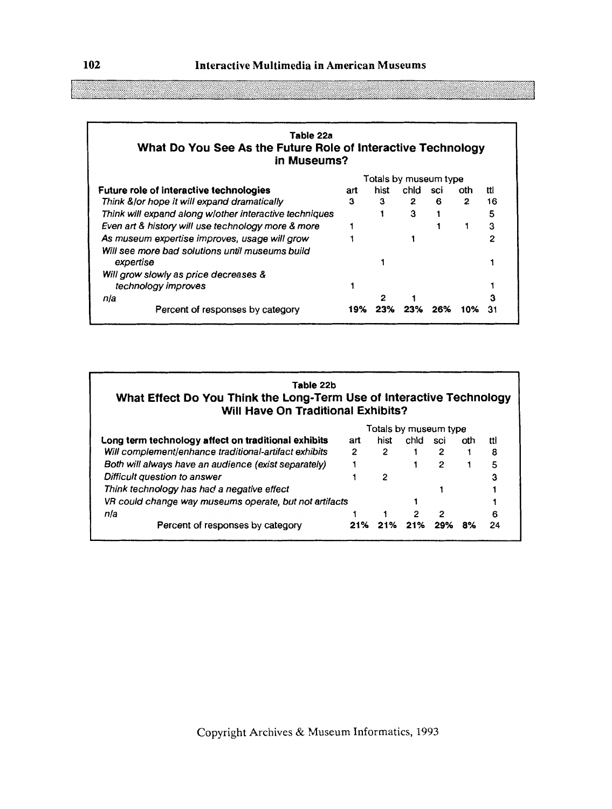| Table 22a<br>What Do You See As the Future Role of Interactive Technology<br>in Museums? |     |                       |                |     |      |     |  |
|------------------------------------------------------------------------------------------|-----|-----------------------|----------------|-----|------|-----|--|
|                                                                                          |     | Totals by museum type |                |     |      |     |  |
| <b>Future role of interactive technologies</b>                                           | art | hist                  | chid sci       |     | nth. | ttl |  |
| Think & or hope it will expand dramatically                                              | 3   | 3                     | $\mathbf{2}^-$ | 6.  | 2    | 16  |  |
| Think will expand along w/other interactive techniques                                   |     |                       | 3              |     |      | 5   |  |
| Even art & history will use technology more & more                                       |     |                       |                |     |      | 3   |  |
| As museum expertise improves, usage will grow                                            |     |                       |                |     |      | 2   |  |
| Will see more bad solutions until museums build                                          |     |                       |                |     |      |     |  |
| expertise                                                                                |     |                       |                |     |      |     |  |
| Will grow slowly as price decreases &                                                    |     |                       |                |     |      |     |  |
| technology improves                                                                      |     |                       |                |     |      |     |  |
| nla                                                                                      |     | 2                     |                |     |      |     |  |
| Percent of responses by category                                                         | 19% |                       | 23%            | 26% | 10%  |     |  |

| Table 22b<br>What Effect Do You Think the Long-Term Use of Interactive Technology<br>Will Have On Traditional Exhibits? |                       |      |       |     |     |     |
|-------------------------------------------------------------------------------------------------------------------------|-----------------------|------|-------|-----|-----|-----|
|                                                                                                                         | Totals by museum type |      |       |     |     |     |
| Long term technology affect on traditional exhibits                                                                     | art                   | hist | chid. | sci | oth | tti |
| Will complement/enhance traditional-artifact exhibits                                                                   | 2                     |      |       | 2   |     | 8   |
| Both will always have an audience (exist separately)                                                                    |                       |      |       |     |     | 5   |
| Difficult question to answer                                                                                            |                       | 2    |       |     |     | 3   |

| Think technology has had a negative effect             |  |                                             |  |      |
|--------------------------------------------------------|--|---------------------------------------------|--|------|
| VR could change way museums operate, but not artifacts |  |                                             |  |      |
| nla                                                    |  | $\begin{array}{cccc} 1 & 2 & 2 \end{array}$ |  |      |
| Percent of responses by category                       |  | 21% 21% 21% 29% 8%                          |  | - 24 |

----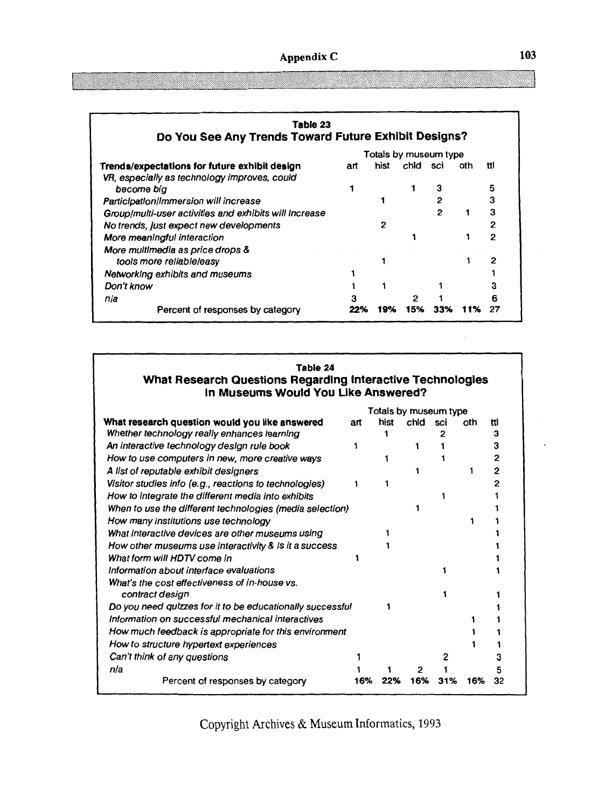| Table 23<br>Do You See Any Trends Toward Future Exhibit Designs? |     |      |          |                       |     |                |
|------------------------------------------------------------------|-----|------|----------|-----------------------|-----|----------------|
|                                                                  |     |      |          | Totals by museum type |     |                |
| Trends/expectations for future exhibit design                    | art | hist | chid sci |                       | oth | ttl            |
| VR, especially as technology improves, could                     |     |      |          |                       |     |                |
| become bia                                                       |     |      |          | з                     |     | 5              |
| Participation/Immersion will increase                            |     |      |          | 2                     |     | З              |
| Group/multi-user activities and exhibits will increase           |     |      |          | 2                     |     | 3              |
| No trends, just expect new developments                          |     |      |          |                       |     | 2              |
| More meaningful interaction                                      |     |      |          |                       |     | $\overline{2}$ |
| More multimedia as price drops &                                 |     |      |          |                       |     |                |
| tools more reliable/easy                                         |     |      |          |                       |     | 2              |
| Networking exhibits and museums                                  |     |      |          |                       |     |                |
| Don't know                                                       |     |      |          |                       |     |                |
| nia                                                              |     |      | 2        |                       |     |                |
| Percent of responses by category                                 |     | 19%  | 15%      | 33%                   |     |                |

| Table 24                                                   |
|------------------------------------------------------------|
| What Research Questions Regarding Interactive Technologies |
| in Museums Would You Like Answered?                        |

|                                                           |     |      |      | Totals by museum type |     |     |
|-----------------------------------------------------------|-----|------|------|-----------------------|-----|-----|
| What research question would you like answered            | art | hist | chid | sci                   | oth | tti |
| Whether technology really enhances learning               |     |      |      |                       |     | з   |
| An interactive technology design rule book                |     |      |      |                       |     |     |
| How to use computers in new, more creative ways           |     |      |      |                       |     |     |
| A list of reputable exhibit designers                     |     |      |      |                       |     |     |
| Visitor studies info (e.g., reactions to technologies)    |     |      |      |                       |     |     |
| How to integrate the different media into exhibits        |     |      |      |                       |     |     |
| When to use the different technologies (media selection)  |     |      |      |                       |     |     |
| How many institutions use technology                      |     |      |      |                       |     |     |
| What interactive devices are other museums using          |     |      |      |                       |     |     |
| How other museums use interactivity & is it a success     |     |      |      |                       |     |     |
| What form will HDTV come in                               |     |      |      |                       |     |     |
| Information about interface evaluations                   |     |      |      |                       |     |     |
| What's the cost effectiveness of in-house vs.             |     |      |      |                       |     |     |
| contract design                                           |     |      |      |                       |     |     |
| Do you need quizzes for it to be educationally successful |     |      |      |                       |     |     |
| Information on successful mechanical interactives         |     |      |      |                       |     |     |
| How much feedback is appropriate for this environment     |     |      |      |                       |     |     |
| How to structure hypertext experiences                    |     |      |      |                       |     |     |
| Can't think of any questions                              |     |      |      |                       |     |     |
| n/a                                                       |     |      |      |                       |     |     |
| Percent of responses by category                          | 16% | 22%  | 16%  | 31%                   | 16% | 32  |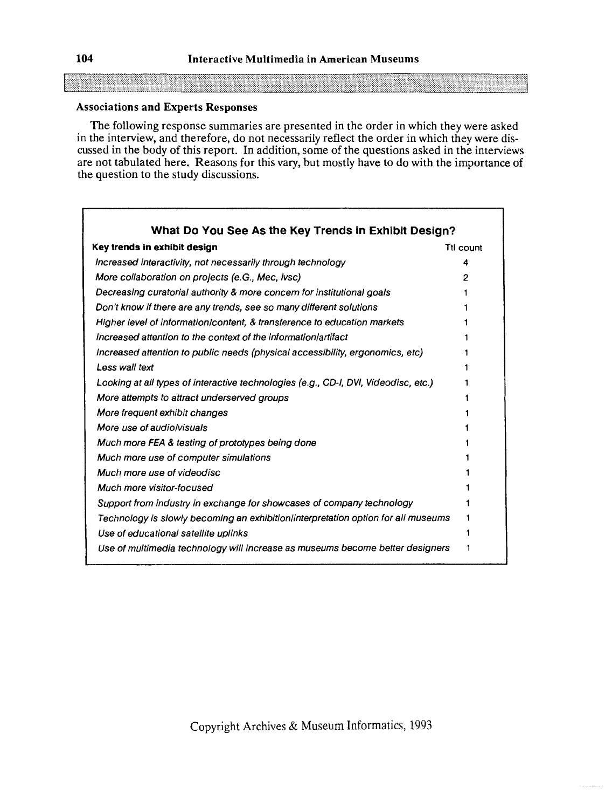### **Associations and Experts Responses**

The following response summaries are presented in the order in which they were asked in the interview, and therefore, do not necessarily reflect the order in which they were discussed in the body of this report. In addition, some of the questions asked in the interviews are not tabulated here. Reasons for this vary, but mostly have to do with the importance of the question to the study discussions.

| What Do You See As the Key Trends in Exhibit Design?                                |           |
|-------------------------------------------------------------------------------------|-----------|
| Key trends in exhibit design                                                        | Ttl count |
| Increased interactivity, not necessarily through technology                         |           |
| More collaboration on projects (e.G., Mec, ivsc)                                    |           |
| Decreasing curatorial authority & more concern for institutional goals              |           |
| Don't know if there are any trends, see so many different solutions                 |           |
| Higher level of information/content, & transference to education markets            |           |
| Increased attention to the context of the information artifact                      |           |
| Increased attention to public needs (physical accessibility, ergonomics, etc)       |           |
| Less wall text                                                                      |           |
| Looking at all types of interactive technologies (e.g., CD-I, DVI, Videodisc, etc.) |           |
| More attempts to attract underserved groups                                         |           |
| More frequent exhibit changes                                                       |           |
| More use of audioly suals                                                           |           |
| Much more FEA & testing of prototypes being done                                    |           |
| Much more use of computer simulations                                               |           |
| Much more use of videodisc                                                          |           |
| <b>Much more visitor-focused</b>                                                    |           |
| Support from industry in exchange for showcases of company technology               |           |
| Technology is slowly becoming an exhibition/interpretation option for all museums   |           |
| Use of educational satellite uplinks                                                |           |
| Use of multimedia technology will increase as museums become better designers       |           |

 $\Gamma$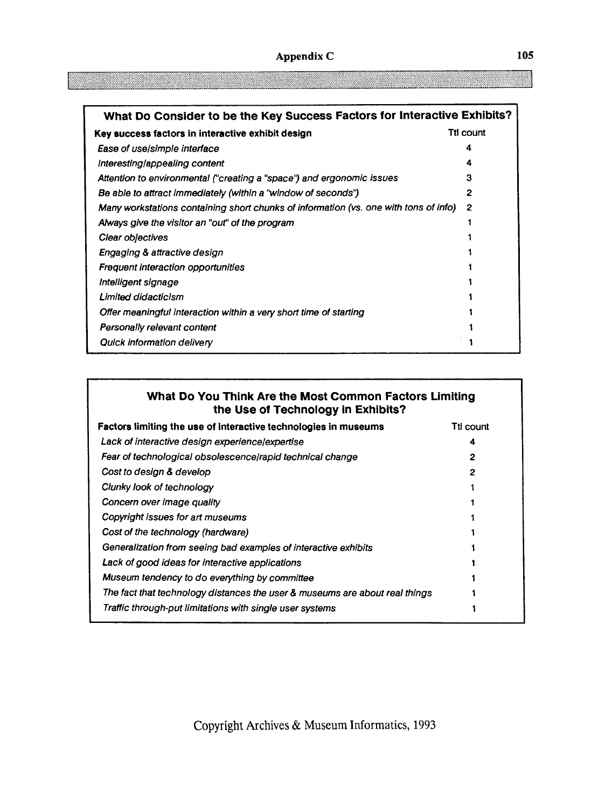| What Do Consider to be the Key Success Factors for Interactive Exhibits?             |           |  |  |  |
|--------------------------------------------------------------------------------------|-----------|--|--|--|
| Key success factors in interactive exhibit design                                    | Ttl count |  |  |  |
| Ease of use/simple interface                                                         | 4         |  |  |  |
| Interesting/appealing content                                                        | 4         |  |  |  |
| Attention to environmental ("creating a "space") and ergonomic issues                | 3         |  |  |  |
| Be able to attract immediately (within a "window of seconds")                        | 2         |  |  |  |
| Many workstations containing short chunks of information (vs. one with tons of info) | 2         |  |  |  |
| Always give the visitor an "out" of the program                                      |           |  |  |  |
| Clear objectives                                                                     |           |  |  |  |
| <b>Engaging &amp; attractive design</b>                                              |           |  |  |  |
| <b>Frequent interaction opportunities</b>                                            |           |  |  |  |
| Intelligent signage                                                                  |           |  |  |  |
| <b>Limited didacticism</b>                                                           |           |  |  |  |
| Offer meaningful interaction within a very short time of starting                    |           |  |  |  |
| <b>Personally relevant content</b>                                                   |           |  |  |  |
| Quick information delivery                                                           |           |  |  |  |

### **What Do You Think Are the Most Common Factors Limiting the Use of Technology in Exhibits?**

| Factors limiting the use of interactive technologies in museums             | Ttl count |
|-----------------------------------------------------------------------------|-----------|
| Lack of interactive design experience/expertise                             | 4         |
| Fear of technological obsolescence/rapid technical change                   | 2         |
| Cost to design & develop                                                    | 2         |
| Clunky look of technology                                                   |           |
| Concern over image quality                                                  |           |
| Copyright issues for art museums                                            |           |
| Cost of the technology (hardware)                                           |           |
| Generalization from seeing bad examples of interactive exhibits             |           |
| Lack of good ideas for interactive applications                             |           |
| Museum tendency to do everything by committee                               |           |
| The fact that technology distances the user & museums are about real things |           |
| Traffic through-put limitations with single user systems                    |           |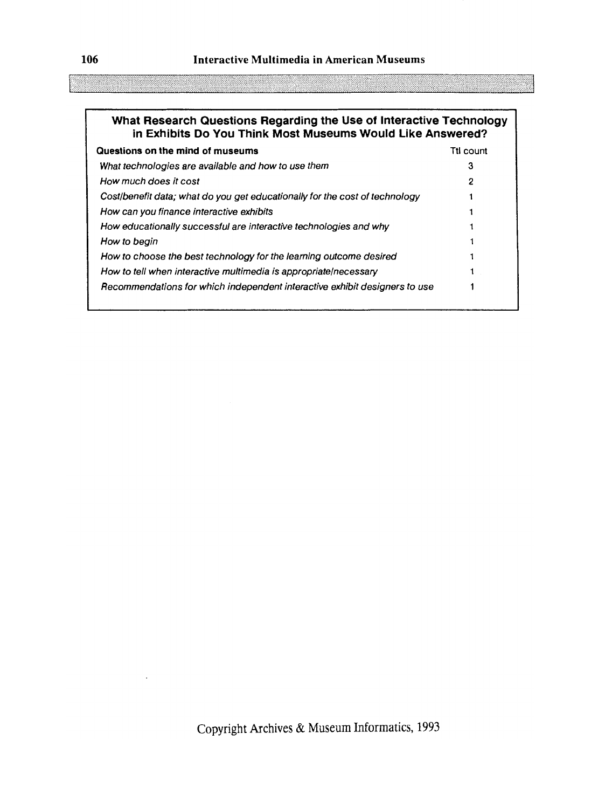### **What Research Questions Regarding the Use of Interactive Technology in Exhibits Do You Think Most Museums Would Like Answered?**

| Questions on the mind of museums                                            | Ttl count |
|-----------------------------------------------------------------------------|-----------|
| What technologies are available and how to use them                         | З         |
| How much does it cost                                                       | 2         |
| Cost/benefit data; what do you get educationally for the cost of technology |           |
| How can you finance interactive exhibits                                    |           |
| How educationally successful are interactive technologies and why           |           |
| How to begin                                                                |           |
| How to choose the best technology for the learning outcome desired          |           |
| How to tell when interactive multimedia is appropriate/necessary            |           |
| Recommendations for which independent interactive exhibit designers to use  |           |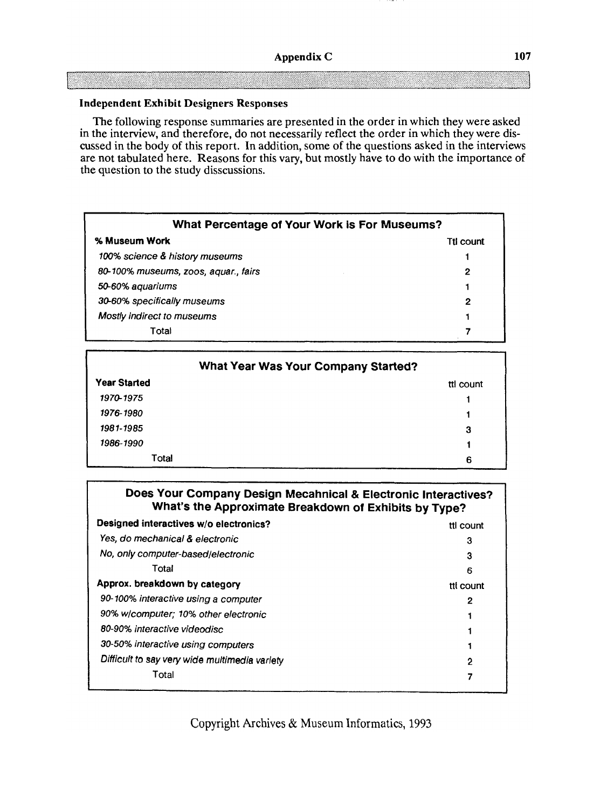#### **Independent Exhibit Designers Responses**

The following response summaries are presented in the order in which they were asked in the interview, and therefore, do not necessarily reflect the order in which they were discussed in the body of this report. In addition, some of the questions asked in the interviews are not tabulated here. Reasons for this vary, but mostly have to do with the importance of the question to the study disscussions.

| What Percentage of Your Work is For Museums? |  |
|----------------------------------------------|--|
| Ttl count                                    |  |
|                                              |  |
| 2                                            |  |
|                                              |  |
| 2                                            |  |
|                                              |  |
|                                              |  |
|                                              |  |

|                     | <b>What Year Was Your Company Started?</b> |
|---------------------|--------------------------------------------|
| <b>Year Started</b> | tti count                                  |
| 1970-1975           |                                            |
| 1976-1980           |                                            |
| 1981-1985           | 3                                          |
| 1986-1990           |                                            |
| Total               | 6                                          |

| Does Your Company Design Mecahnical & Electronic Interactives?<br>What's the Approximate Breakdown of Exhibits by Type? |  |
|-------------------------------------------------------------------------------------------------------------------------|--|

| Designed interactives w/o electronics?        | tti count |
|-----------------------------------------------|-----------|
| Yes, do mechanical & electronic               | 3         |
| No, only computer-based/electronic            | 3         |
| Total                                         | 6         |
| Approx. breakdown by category                 | tti count |
| 90-100% interactive using a computer          | 2         |
| 90% w/computer; 10% other electronic          |           |
| 80-90% interactive videodisc                  |           |
| 30-50% interactive using computers            |           |
| Difficult to say very wide multimedia variety | 2         |
| Total                                         |           |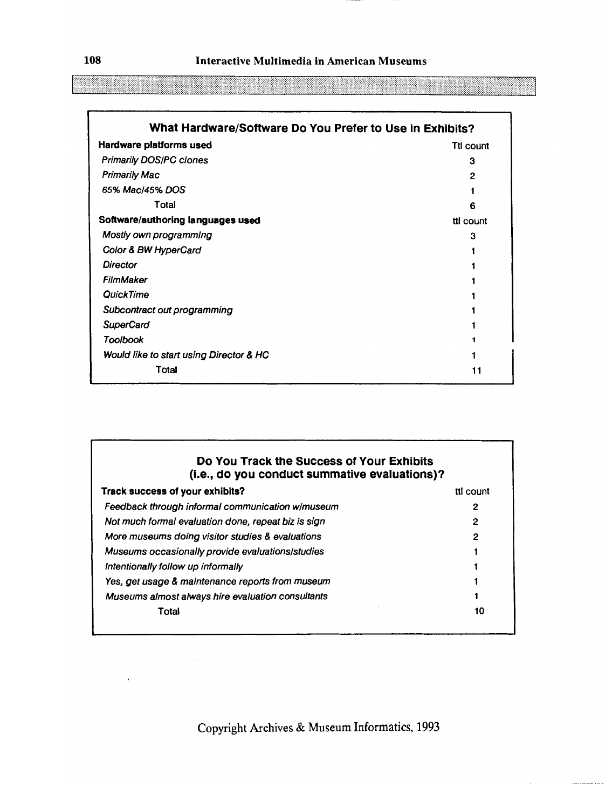| What Hardware/Software Do You Prefer to Use in Exhibits? |              |
|----------------------------------------------------------|--------------|
| Hardware platforms used                                  | Ttl count    |
| <b>Primarily DOS/PC clones</b>                           | 3            |
| <b>Primarily Mac</b>                                     | $\mathbf{2}$ |
| 65% Mac/45% DOS                                          |              |
| Total                                                    | 6            |
| Software/authoring languages used                        | tti count    |
| Mostly own programming                                   | з            |
| Color & BW HyperCard                                     |              |
| <b>Director</b>                                          |              |
| FilmMaker                                                |              |
| QuickTime                                                |              |
| Subcontract out programming                              |              |
| <b>SuperCard</b>                                         |              |
| <b>Toolbook</b>                                          |              |
| Would like to start using Director & HC                  |              |
| Total                                                    | 11           |
|                                                          |              |

### **Do You Track the Success of Your Exhibits (i.e., do you conduct summative evaluations)?**

| Track success of your exhibits?                     | tti count |
|-----------------------------------------------------|-----------|
| Feedback through informal communication w/museum    | 2         |
| Not much formal evaluation done, repeat biz is sign | 2         |
| More museums doing visitor studies & evaluations    | 2         |
| Museums occasionally provide evaluations/studies    |           |
| Intentionally follow up informally                  |           |
| Yes, get usage & maintenance reports from museum    |           |
| Museums almost always hire evaluation consultants   |           |
| Total                                               | 10        |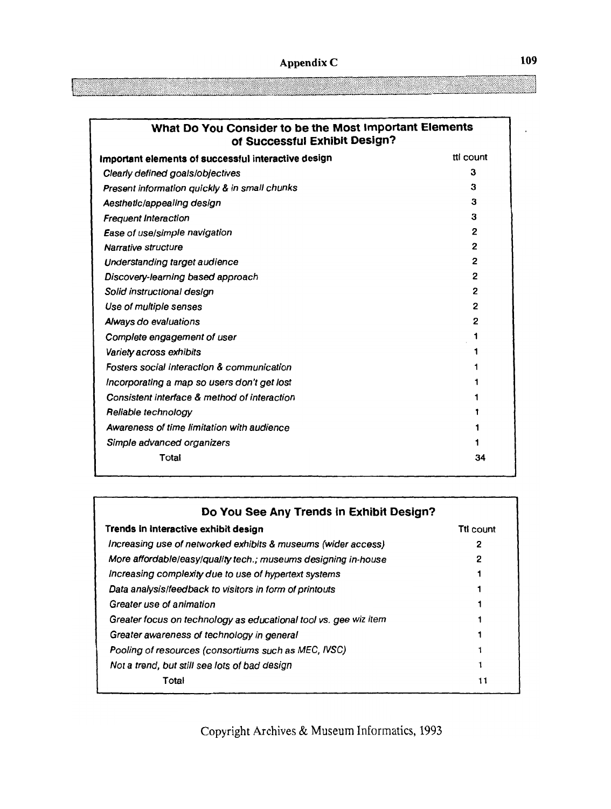| What Do You Consider to be the Most Important Elements<br>of Successful Exhibit Design? |           |
|-----------------------------------------------------------------------------------------|-----------|
| Important elements of successful interactive design                                     | tti count |
| Clearly defined goals/objectives                                                        | 3         |
| Present information quickly & in small chunks                                           | 3         |
| AesthetIc/appealing design                                                              | 3         |
| <b>Frequent Interaction</b>                                                             | 3         |
| Ease of use/simple navigation                                                           | 2         |
| Narrative structure                                                                     | 2         |
| Understanding target audience                                                           | 2         |
| Discovery-learning based approach                                                       | 2         |
| Solid instructional design                                                              | 2         |
| Use of multiple senses                                                                  | 2         |
| Always do evaluations                                                                   | 2         |
| Complete engagement of user                                                             |           |
| Variety across exhibits                                                                 |           |
| Fosters social interaction & communication                                              |           |
| Incorporating a map so users don't get lost                                             |           |
| Consistent interface & method of interaction                                            |           |
| Reliable technology                                                                     |           |
| Awareness of time limitation with audience                                              |           |
| Simple advanced organizers                                                              |           |
| Total                                                                                   | 34        |

| Do You See Any Trends in Exhibit Design?                         |           |  |
|------------------------------------------------------------------|-----------|--|
| Trends in interactive exhibit design                             | Tti count |  |
| Increasing use of networked exhibits & museums (wider access)    | 2         |  |
| More affordable/easy/quality tech.; museums designing in-house   |           |  |
| Increasing complexity due to use of hypertext systems            |           |  |
| Data analysis/feedback to visitors in form of printouts          |           |  |
| Greater use of animation                                         |           |  |
| Greater focus on technology as educational tool vs. gee wiz item |           |  |
| Greater awareness of technology in general                       |           |  |
| Pooling of resources (consortiums such as MEC, IVSC)             |           |  |
| Not a trend, but still see lots of bad design                    |           |  |
| Total                                                            |           |  |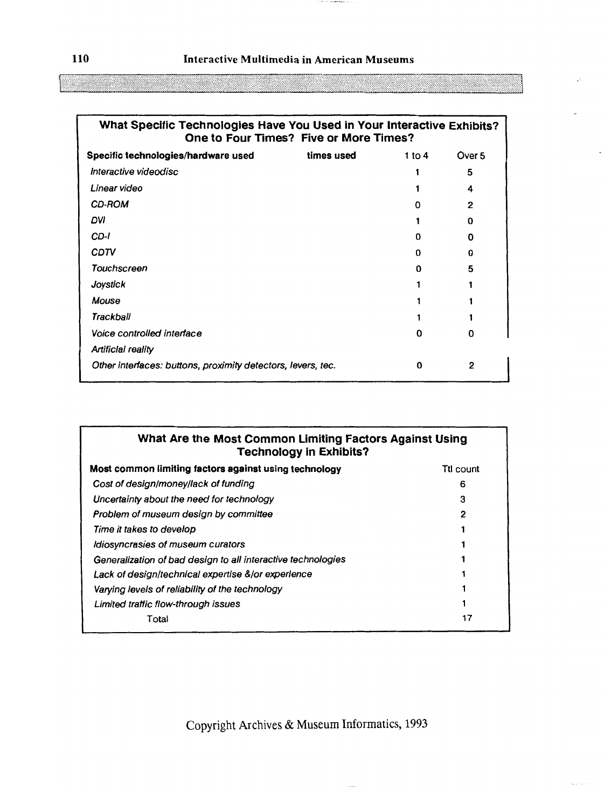#### **110 Interactive Multimedia in American Museums**

| What Specific Technologies Have You Used in Your Interactive Exhibits?<br>One to Four Times? Five or More Times? |            |        |              |
|------------------------------------------------------------------------------------------------------------------|------------|--------|--------------|
| Specific technologies/hardware used                                                                              | times used | 1 to 4 | Over 5       |
| Interactive videodisc                                                                                            |            |        | 5            |
| Linear video                                                                                                     |            |        | 4            |
| <b>CD-ROM</b>                                                                                                    |            | n      | 2            |
| DVI                                                                                                              |            |        | 0            |
| CD-I                                                                                                             |            | n      | 0            |
| CDTV                                                                                                             |            | o      | 0            |
| Touchscreen                                                                                                      |            | 0      | 5            |
| Joystick                                                                                                         |            |        |              |
| Mouse                                                                                                            |            |        |              |
| Trackball                                                                                                        |            |        |              |
| Voice controlled interface                                                                                       |            | 0      | <sup>0</sup> |
| <b>Artificial reality</b>                                                                                        |            |        |              |
| Other interfaces: buttons, proximity detectors, levers, tec.                                                     |            | 0      | 2            |

## **What Are the Most Common Limiting Factors Against Using Technology in Exhibits? Most common limiting factors against using technology <b>TE** TE count Cost of designlmoneyllack of funding **6**  Uncertainty about the need for technology **3**  Problem of museum design by committee **2**  Time it takes to develop 1 Idiosyncrasies of museum curators 1 Generalization of bad design to all interactive technologies 1 Lack of design/technical expertise &/or experience 1 Varying levels of reliability of the technology **1**  Limited traffic flow-through issues **1**

Copyright Archives & Museum Informatics, 1993

 $\Gamma$ otal  $\Gamma$